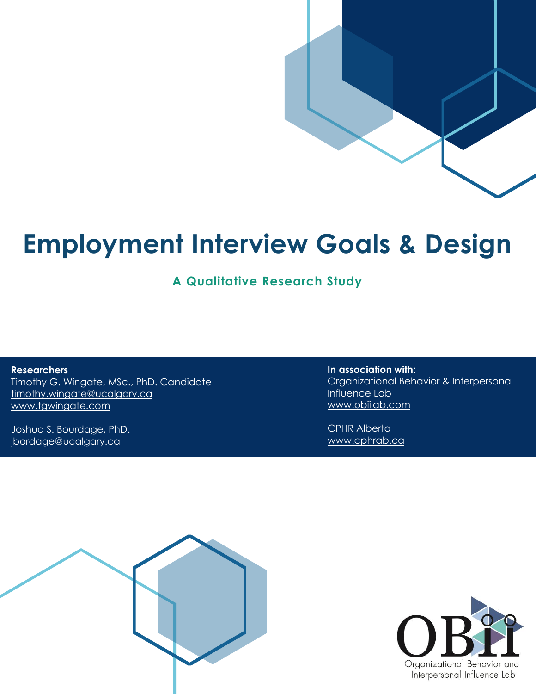# **Employment Interview Goals & Design**

**A Qualitative Research Study**

**Researchers** Timothy G. Wingate, MSc., PhD. Candidate [timothy.wingate@ucalgary.ca](mailto:timothy.wingate@ucalgary.ca) [www.tgwingate.com](http://www.tgwingate.com/)

Joshua S. Bourdage, PhD. [jbordage@ucalgary.ca](mailto:jbordage@ucalgary.ca)

**In association with:** Organizational Behavior & Interpersonal Influence Lab [www.obiilab.com](http://www.obiilab.com/)

CPHR Alberta [www.cphrab.ca](http://www.cphrab.ca/)



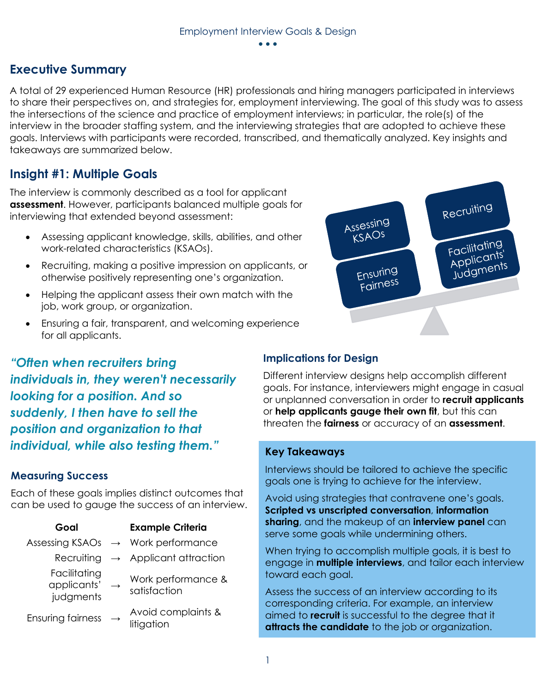#### • • •

### **Executive Summary**

A total of 29 experienced Human Resource (HR) professionals and hiring managers participated in interviews to share their perspectives on, and strategies for, employment interviewing. The goal of this study was to assess the intersections of the science and practice of employment interviews; in particular, the role(s) of the interview in the broader staffing system, and the interviewing strategies that are adopted to achieve these goals. Interviews with participants were recorded, transcribed, and thematically analyzed. Key insights and takeaways are summarized below.

### **Insight #1: Multiple Goals**

The interview is commonly described as a tool for applicant **assessment**. However, participants balanced multiple goals for interviewing that extended beyond assessment:

- Assessing applicant knowledge, skills, abilities, and other work-related characteristics (KSAOs).
- Recruiting, making a positive impression on applicants, or otherwise positively representing one's organization.
- Helping the applicant assess their own match with the job, work group, or organization.
- Ensuring a fair, transparent, and welcoming experience for all applicants.

*"Often when recruiters bring individuals in, they weren't necessarily looking for a position. And so suddenly, I then have to sell the position and organization to that individual, while also testing them."*

### **Measuring Success**

Each of these goals implies distinct outcomes that can be used to gauge the success of an interview.

| Goal                                     |               | <b>Example Criteria</b>                        |
|------------------------------------------|---------------|------------------------------------------------|
|                                          |               | Assessing KSAOs $\rightarrow$ Work performance |
|                                          |               | Recruiting $\rightarrow$ Applicant attraction  |
| Facilitating<br>applicants'<br>judgments | $\rightarrow$ | Work performance &<br>satisfaction             |
| Ensuring fairness                        | $\rightarrow$ | Avoid complaints &<br>litigation               |
|                                          |               |                                                |



### **Implications for Design**

Different interview designs help accomplish different goals. For instance, interviewers might engage in casual or unplanned conversation in order to **recruit applicants** or **help applicants gauge their own fit**, but this can threaten the **fairness** or accuracy of an **assessment**.

#### **Key Takeaways**

Interviews should be tailored to achieve the specific goals one is trying to achieve for the interview.

Avoid using strategies that contravene one's goals. **Scripted vs unscripted conversation**, **information sharing**, and the makeup of an **interview panel** can serve some goals while undermining others.

When trying to accomplish multiple goals, it is best to engage in **multiple interviews**, and tailor each interview toward each goal.

Assess the success of an interview according to its corresponding criteria. For example, an interview aimed to **recruit** is successful to the degree that it **attracts the candidate** to the job or organization.